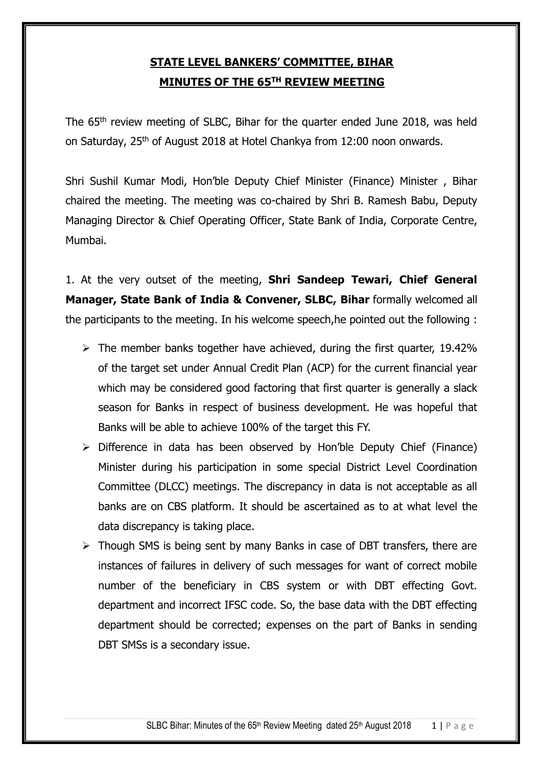# **STATE LEVEL BANKERS' COMMITTEE, BIHAR MINUTES OF THE 65TH REVIEW MEETING**

The 65<sup>th</sup> review meeting of SLBC, Bihar for the quarter ended June 2018, was held on Saturday, 25<sup>th</sup> of August 2018 at Hotel Chankya from 12:00 noon onwards.

Shri Sushil Kumar Modi, Hon'ble Deputy Chief Minister (Finance) Minister , Bihar chaired the meeting. The meeting was co-chaired by Shri B. Ramesh Babu, Deputy Managing Director & Chief Operating Officer, State Bank of India, Corporate Centre, Mumbai.

1. At the very outset of the meeting, **Shri Sandeep Tewari, Chief General Manager, State Bank of India & Convener, SLBC, Bihar** formally welcomed all the participants to the meeting. In his welcome speech,he pointed out the following :

- $\triangleright$  The member banks together have achieved, during the first quarter, 19.42% of the target set under Annual Credit Plan (ACP) for the current financial year which may be considered good factoring that first quarter is generally a slack season for Banks in respect of business development. He was hopeful that Banks will be able to achieve 100% of the target this FY.
- $\triangleright$  Difference in data has been observed by Hon'ble Deputy Chief (Finance) Minister during his participation in some special District Level Coordination Committee (DLCC) meetings. The discrepancy in data is not acceptable as all banks are on CBS platform. It should be ascertained as to at what level the data discrepancy is taking place.
- $\triangleright$  Though SMS is being sent by many Banks in case of DBT transfers, there are instances of failures in delivery of such messages for want of correct mobile number of the beneficiary in CBS system or with DBT effecting Govt. department and incorrect IFSC code. So, the base data with the DBT effecting department should be corrected; expenses on the part of Banks in sending DBT SMSs is a secondary issue.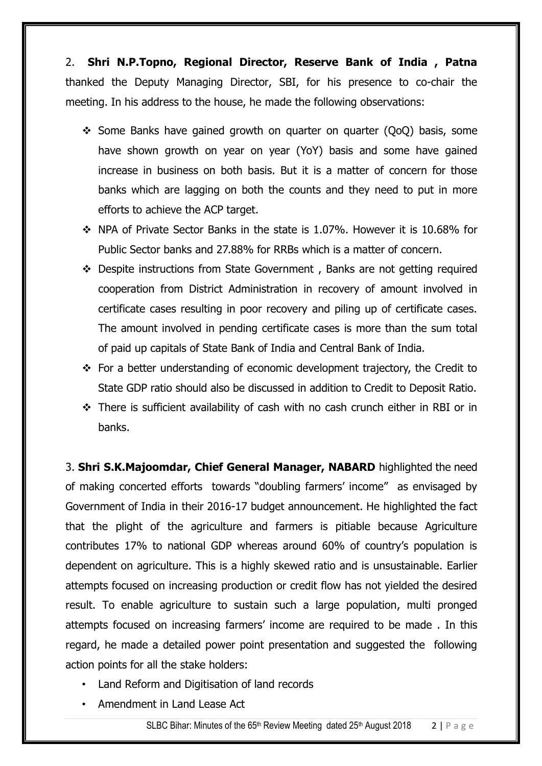2. **Shri N.P.Topno, Regional Director, Reserve Bank of India , Patna** thanked the Deputy Managing Director, SBI, for his presence to co-chair the meeting. In his address to the house, he made the following observations:

- Some Banks have gained growth on quarter on quarter (QoQ) basis, some have shown growth on year on year (YoY) basis and some have gained increase in business on both basis. But it is a matter of concern for those banks which are lagging on both the counts and they need to put in more efforts to achieve the ACP target.
- NPA of Private Sector Banks in the state is 1.07%. However it is 10.68% for Public Sector banks and 27.88% for RRBs which is a matter of concern.
- Despite instructions from State Government , Banks are not getting required cooperation from District Administration in recovery of amount involved in certificate cases resulting in poor recovery and piling up of certificate cases. The amount involved in pending certificate cases is more than the sum total of paid up capitals of State Bank of India and Central Bank of India.
- For a better understanding of economic development trajectory, the Credit to State GDP ratio should also be discussed in addition to Credit to Deposit Ratio.
- There is sufficient availability of cash with no cash crunch either in RBI or in banks.

3. **Shri S.K.Majoomdar, Chief General Manager, NABARD** highlighted the need of making concerted efforts towards "doubling farmers' income" as envisaged by Government of India in their 2016-17 budget announcement. He highlighted the fact that the plight of the agriculture and farmers is pitiable because Agriculture contributes 17% to national GDP whereas around 60% of country's population is dependent on agriculture. This is a highly skewed ratio and is unsustainable. Earlier attempts focused on increasing production or credit flow has not yielded the desired result. To enable agriculture to sustain such a large population, multi pronged attempts focused on increasing farmers' income are required to be made . In this regard, he made a detailed power point presentation and suggested the following action points for all the stake holders:

- Land Reform and Digitisation of land records
- Amendment in Land Lease Act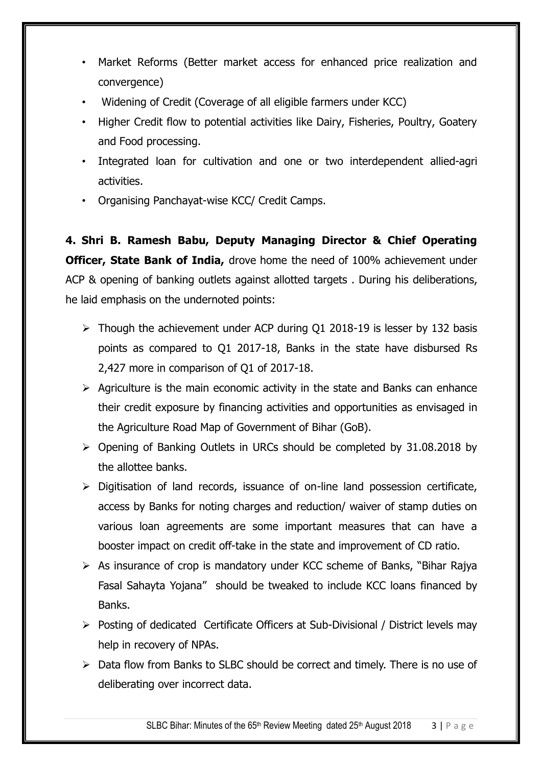- Market Reforms (Better market access for enhanced price realization and convergence)
- Widening of Credit (Coverage of all eligible farmers under KCC)
- Higher Credit flow to potential activities like Dairy, Fisheries, Poultry, Goatery and Food processing.
- Integrated loan for cultivation and one or two interdependent allied-agri activities.
- Organising Panchayat-wise KCC/ Credit Camps.

**4. Shri B. Ramesh Babu, Deputy Managing Director & Chief Operating Officer, State Bank of India,** drove home the need of 100% achievement under ACP & opening of banking outlets against allotted targets . During his deliberations, he laid emphasis on the undernoted points:

- $\triangleright$  Though the achievement under ACP during Q1 2018-19 is lesser by 132 basis points as compared to Q1 2017-18, Banks in the state have disbursed Rs 2,427 more in comparison of Q1 of 2017-18.
- $\triangleright$  Agriculture is the main economic activity in the state and Banks can enhance their credit exposure by financing activities and opportunities as envisaged in the Agriculture Road Map of Government of Bihar (GoB).
- $\triangleright$  Opening of Banking Outlets in URCs should be completed by 31.08.2018 by the allottee banks.
- $\triangleright$  Digitisation of land records, issuance of on-line land possession certificate, access by Banks for noting charges and reduction/ waiver of stamp duties on various loan agreements are some important measures that can have a booster impact on credit off-take in the state and improvement of CD ratio.
- $\triangleright$  As insurance of crop is mandatory under KCC scheme of Banks, "Bihar Rajya" Fasal Sahayta Yojana" should be tweaked to include KCC loans financed by Banks.
- Posting of dedicated Certificate Officers at Sub-Divisional / District levels may help in recovery of NPAs.
- $\triangleright$  Data flow from Banks to SLBC should be correct and timely. There is no use of deliberating over incorrect data.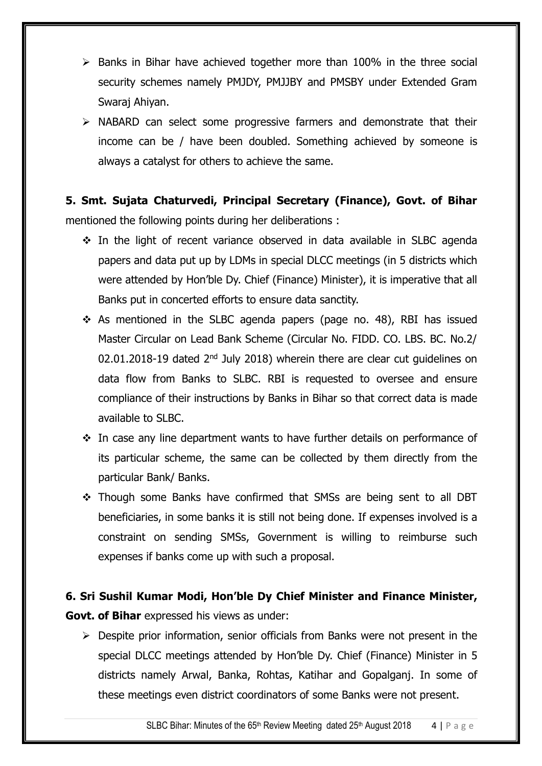- $\triangleright$  Banks in Bihar have achieved together more than 100% in the three social security schemes namely PMJDY, PMJJBY and PMSBY under Extended Gram Swaraj Ahiyan.
- $\triangleright$  NABARD can select some progressive farmers and demonstrate that their income can be / have been doubled. Something achieved by someone is always a catalyst for others to achieve the same.

# **5. Smt. Sujata Chaturvedi, Principal Secretary (Finance), Govt. of Bihar**  mentioned the following points during her deliberations :

- $\div$  In the light of recent variance observed in data available in SLBC agenda papers and data put up by LDMs in special DLCC meetings (in 5 districts which were attended by Hon'ble Dy. Chief (Finance) Minister), it is imperative that all Banks put in concerted efforts to ensure data sanctity.
- $\div$  As mentioned in the SLBC agenda papers (page no. 48), RBI has issued Master Circular on Lead Bank Scheme (Circular No. FIDD. CO. LBS. BC. No.2/ 02.01.2018-19 dated 2<sup>nd</sup> July 2018) wherein there are clear cut guidelines on data flow from Banks to SLBC. RBI is requested to oversee and ensure compliance of their instructions by Banks in Bihar so that correct data is made available to SLBC.
- \* In case any line department wants to have further details on performance of its particular scheme, the same can be collected by them directly from the particular Bank/ Banks.
- Though some Banks have confirmed that SMSs are being sent to all DBT beneficiaries, in some banks it is still not being done. If expenses involved is a constraint on sending SMSs, Government is willing to reimburse such expenses if banks come up with such a proposal.

# **6. Sri Sushil Kumar Modi, Hon'ble Dy Chief Minister and Finance Minister, Govt. of Bihar** expressed his views as under:

 Despite prior information, senior officials from Banks were not present in the special DLCC meetings attended by Hon'ble Dy. Chief (Finance) Minister in 5 districts namely Arwal, Banka, Rohtas, Katihar and Gopalganj. In some of these meetings even district coordinators of some Banks were not present.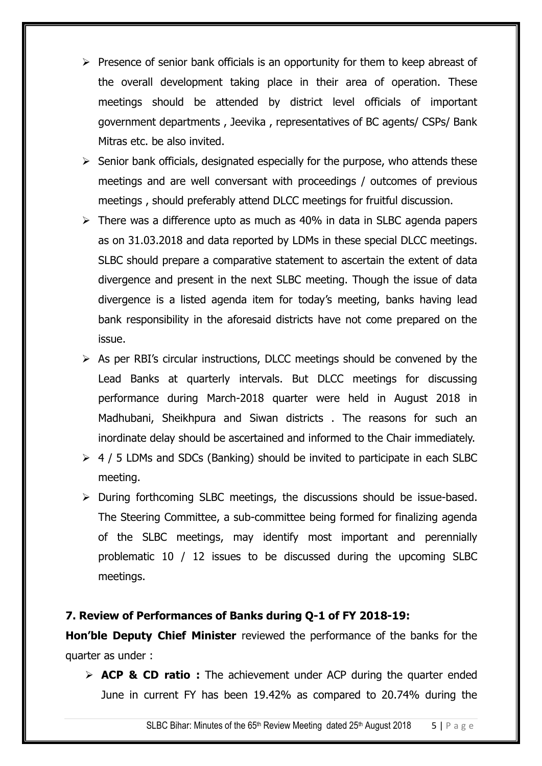- $\triangleright$  Presence of senior bank officials is an opportunity for them to keep abreast of the overall development taking place in their area of operation. These meetings should be attended by district level officials of important government departments , Jeevika , representatives of BC agents/ CSPs/ Bank Mitras etc. be also invited.
- $\triangleright$  Senior bank officials, designated especially for the purpose, who attends these meetings and are well conversant with proceedings / outcomes of previous meetings , should preferably attend DLCC meetings for fruitful discussion.
- $\triangleright$  There was a difference upto as much as 40% in data in SLBC agenda papers as on 31.03.2018 and data reported by LDMs in these special DLCC meetings. SLBC should prepare a comparative statement to ascertain the extent of data divergence and present in the next SLBC meeting. Though the issue of data divergence is a listed agenda item for today's meeting, banks having lead bank responsibility in the aforesaid districts have not come prepared on the issue.
- $\triangleright$  As per RBI's circular instructions, DLCC meetings should be convened by the Lead Banks at quarterly intervals. But DLCC meetings for discussing performance during March-2018 quarter were held in August 2018 in Madhubani, Sheikhpura and Siwan districts . The reasons for such an inordinate delay should be ascertained and informed to the Chair immediately.
- $\geq 4$  / 5 LDMs and SDCs (Banking) should be invited to participate in each SLBC meeting.
- $\triangleright$  During forthcoming SLBC meetings, the discussions should be issue-based. The Steering Committee, a sub-committee being formed for finalizing agenda of the SLBC meetings, may identify most important and perennially problematic 10 / 12 issues to be discussed during the upcoming SLBC meetings.

## **7. Review of Performances of Banks during Q-1 of FY 2018-19:**

**Hon'ble Deputy Chief Minister** reviewed the performance of the banks for the quarter as under :

 **ACP & CD ratio :** The achievement under ACP during the quarter ended June in current FY has been 19.42% as compared to 20.74% during the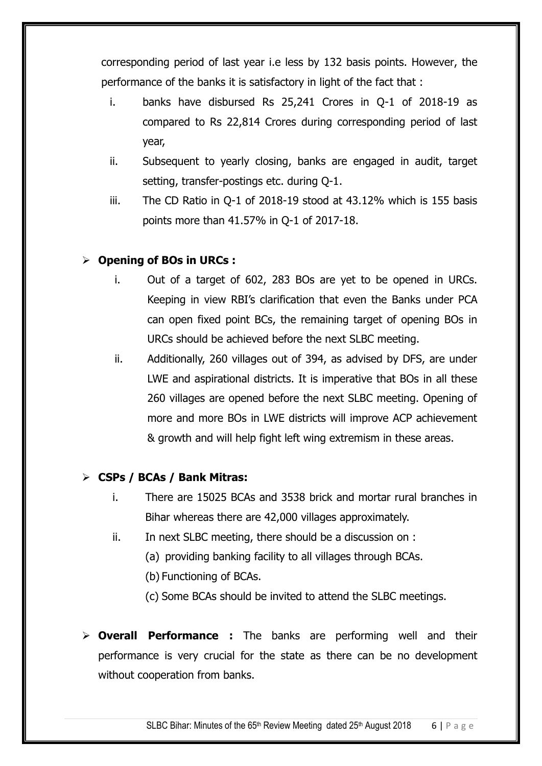corresponding period of last year i.e less by 132 basis points. However, the performance of the banks it is satisfactory in light of the fact that :

- i. banks have disbursed Rs 25,241 Crores in Q-1 of 2018-19 as compared to Rs 22,814 Crores during corresponding period of last year,
- ii. Subsequent to yearly closing, banks are engaged in audit, target setting, transfer-postings etc. during Q-1.
- iii. The CD Ratio in Q-1 of 2018-19 stood at 43.12% which is 155 basis points more than 41.57% in Q-1 of 2017-18.

# **Opening of BOs in URCs :**

- i. Out of a target of 602, 283 BOs are yet to be opened in URCs. Keeping in view RBI's clarification that even the Banks under PCA can open fixed point BCs, the remaining target of opening BOs in URCs should be achieved before the next SLBC meeting.
- ii. Additionally, 260 villages out of 394, as advised by DFS, are under LWE and aspirational districts. It is imperative that BOs in all these 260 villages are opened before the next SLBC meeting. Opening of more and more BOs in LWE districts will improve ACP achievement & growth and will help fight left wing extremism in these areas.

# **CSPs / BCAs / Bank Mitras:**

- i. There are 15025 BCAs and 3538 brick and mortar rural branches in Bihar whereas there are 42,000 villages approximately.
- ii. In next SLBC meeting, there should be a discussion on :
	- (a) providing banking facility to all villages through BCAs.
	- (b) Functioning of BCAs.
	- (c) Some BCAs should be invited to attend the SLBC meetings.
- **Overall Performance :** The banks are performing well and their performance is very crucial for the state as there can be no development without cooperation from banks.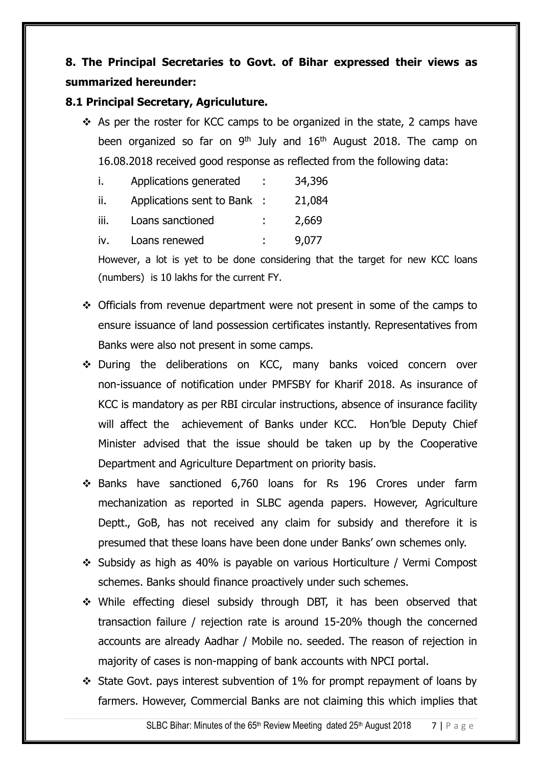# **8. The Principal Secretaries to Govt. of Bihar expressed their views as summarized hereunder:**

## **8.1 Principal Secretary, Agriculuture.**

 $\div$  As per the roster for KCC camps to be organized in the state, 2 camps have been organized so far on  $9<sup>th</sup>$  July and  $16<sup>th</sup>$  August 2018. The camp on 16.08.2018 received good response as reflected from the following data:

|      | Applications generated      | 34,396 |
|------|-----------------------------|--------|
| Ιİ.  | Applications sent to Bank : | 21,084 |
| iii. | Loans sanctioned            | 2,669  |
| İV.  | Loans renewed               | 9,077  |

However, a lot is yet to be done considering that the target for new KCC loans (numbers) is 10 lakhs for the current FY.

- Officials from revenue department were not present in some of the camps to ensure issuance of land possession certificates instantly. Representatives from Banks were also not present in some camps.
- During the deliberations on KCC, many banks voiced concern over non-issuance of notification under PMFSBY for Kharif 2018. As insurance of KCC is mandatory as per RBI circular instructions, absence of insurance facility will affect the achievement of Banks under KCC. Hon'ble Deputy Chief Minister advised that the issue should be taken up by the Cooperative Department and Agriculture Department on priority basis.
- Banks have sanctioned 6,760 loans for Rs 196 Crores under farm mechanization as reported in SLBC agenda papers. However, Agriculture Deptt., GoB, has not received any claim for subsidy and therefore it is presumed that these loans have been done under Banks' own schemes only.
- Subsidy as high as 40% is payable on various Horticulture / Vermi Compost schemes. Banks should finance proactively under such schemes.
- While effecting diesel subsidy through DBT, it has been observed that transaction failure / rejection rate is around 15-20% though the concerned accounts are already Aadhar / Mobile no. seeded. The reason of rejection in majority of cases is non-mapping of bank accounts with NPCI portal.
- $\div$  State Govt. pays interest subvention of 1% for prompt repayment of loans by farmers. However, Commercial Banks are not claiming this which implies that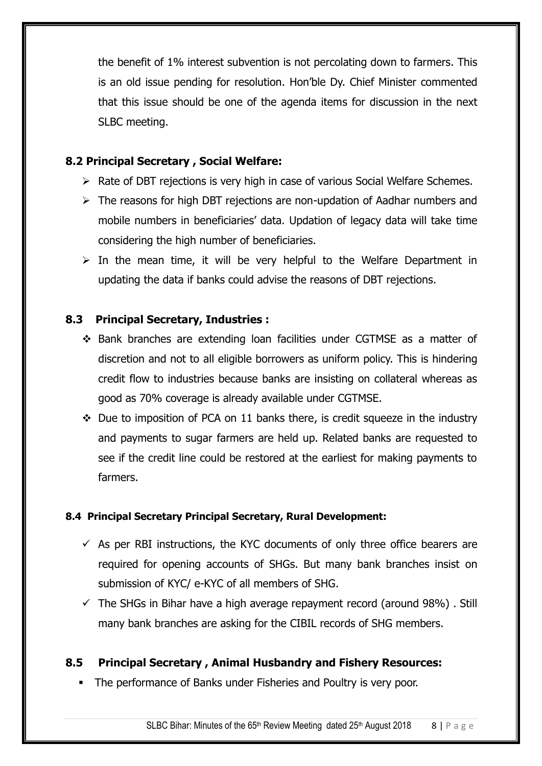the benefit of 1% interest subvention is not percolating down to farmers. This is an old issue pending for resolution. Hon'ble Dy. Chief Minister commented that this issue should be one of the agenda items for discussion in the next SLBC meeting.

## **8.2 Principal Secretary , Social Welfare:**

- $\triangleright$  Rate of DBT rejections is very high in case of various Social Welfare Schemes.
- $\triangleright$  The reasons for high DBT rejections are non-updation of Aadhar numbers and mobile numbers in beneficiaries' data. Updation of legacy data will take time considering the high number of beneficiaries.
- $\triangleright$  In the mean time, it will be very helpful to the Welfare Department in updating the data if banks could advise the reasons of DBT rejections.

## **8.3 Principal Secretary, Industries :**

- Bank branches are extending loan facilities under CGTMSE as a matter of discretion and not to all eligible borrowers as uniform policy. This is hindering credit flow to industries because banks are insisting on collateral whereas as good as 70% coverage is already available under CGTMSE.
- $\div$  Due to imposition of PCA on 11 banks there, is credit squeeze in the industry and payments to sugar farmers are held up. Related banks are requested to see if the credit line could be restored at the earliest for making payments to farmers.

## **8.4 Principal Secretary Principal Secretary, Rural Development:**

- $\checkmark$  As per RBI instructions, the KYC documents of only three office bearers are required for opening accounts of SHGs. But many bank branches insist on submission of KYC/ e-KYC of all members of SHG.
- $\checkmark$  The SHGs in Bihar have a high average repayment record (around 98%). Still many bank branches are asking for the CIBIL records of SHG members.

# **8.5 Principal Secretary , Animal Husbandry and Fishery Resources:**

The performance of Banks under Fisheries and Poultry is very poor.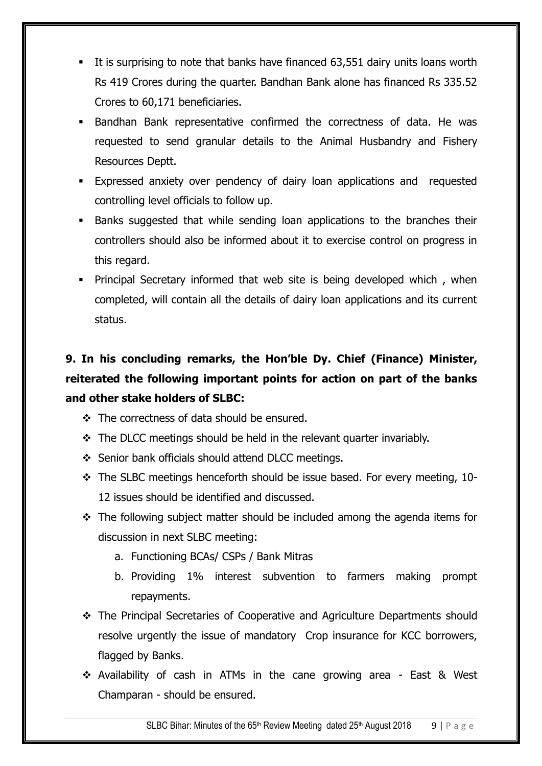- It is surprising to note that banks have financed 63,551 dairy units loans worth Rs 419 Crores during the quarter. Bandhan Bank alone has financed Rs 335.52 Crores to 60,171 beneficiaries.
- Bandhan Bank representative confirmed the correctness of data. He was requested to send granular details to the Animal Husbandry and Fishery Resources Deptt.
- Expressed anxiety over pendency of dairy loan applications and requested controlling level officials to follow up.
- **Banks suggested that while sending loan applications to the branches their** controllers should also be informed about it to exercise control on progress in this regard.
- **Principal Secretary informed that web site is being developed which, when** completed, will contain all the details of dairy loan applications and its current status.

# **9. In his concluding remarks, the Hon'ble Dy. Chief (Finance) Minister, reiterated the following important points for action on part of the banks and other stake holders of SLBC:**

- The correctness of data should be ensured.
- $\div$  The DLCC meetings should be held in the relevant quarter invariably.
- Senior bank officials should attend DLCC meetings.
- \* The SLBC meetings henceforth should be issue based. For every meeting, 10-12 issues should be identified and discussed.
- $\div$  The following subject matter should be included among the agenda items for discussion in next SLBC meeting:
	- a. Functioning BCAs/ CSPs / Bank Mitras
	- b. Providing 1% interest subvention to farmers making prompt repayments.
- The Principal Secretaries of Cooperative and Agriculture Departments should resolve urgently the issue of mandatory Crop insurance for KCC borrowers, flagged by Banks.
- Availability of cash in ATMs in the cane growing area East & West Champaran - should be ensured.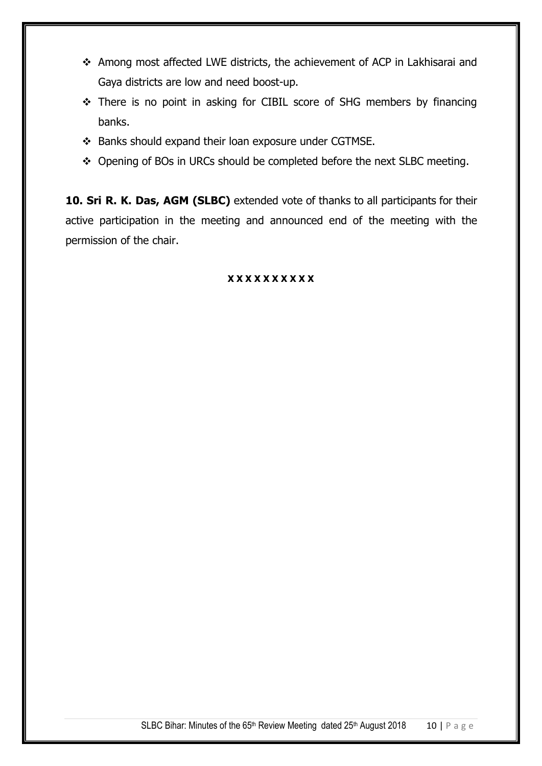- Among most affected LWE districts, the achievement of ACP in Lakhisarai and Gaya districts are low and need boost-up.
- \* There is no point in asking for CIBIL score of SHG members by financing banks.
- \* Banks should expand their loan exposure under CGTMSE.
- \* Opening of BOs in URCs should be completed before the next SLBC meeting.

**10. Sri R. K. Das, AGM (SLBC)** extended vote of thanks to all participants for their active participation in the meeting and announced end of the meeting with the permission of the chair.

### **X X X X X X X X X X**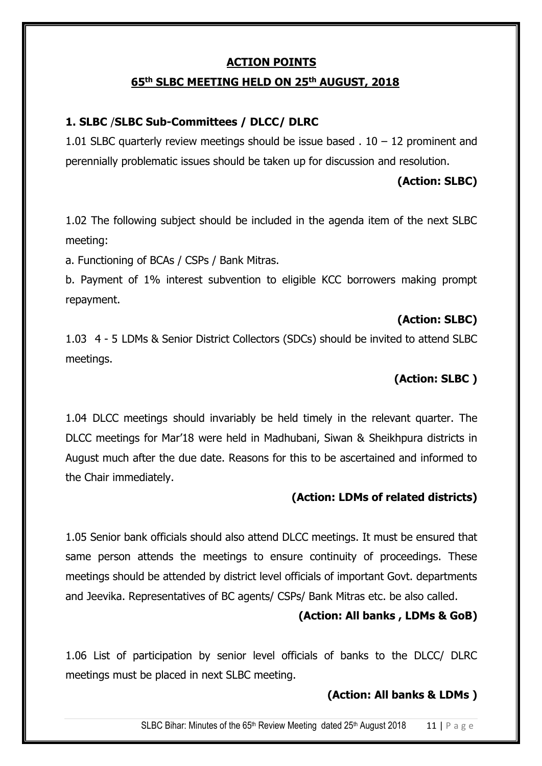## **ACTION POINTS**

### **65 th SLBC MEETING HELD ON 25 th AUGUST, 2018**

## **1. SLBC** /**SLBC Sub-Committees / DLCC/ DLRC**

1.01 SLBC quarterly review meetings should be issue based  $. 10 - 12$  prominent and perennially problematic issues should be taken up for discussion and resolution.

### **(Action: SLBC)**

1.02 The following subject should be included in the agenda item of the next SLBC meeting:

a. Functioning of BCAs / CSPs / Bank Mitras.

b. Payment of 1% interest subvention to eligible KCC borrowers making prompt repayment.

### **(Action: SLBC)**

1.034 - 5 LDMs & Senior District Collectors (SDCs) should be invited to attend SLBC meetings.

## **(Action: SLBC )**

1.04 DLCC meetings should invariably be held timely in the relevant quarter. The DLCC meetings for Mar'18 were held in Madhubani, Siwan & Sheikhpura districts in August much after the due date. Reasons for this to be ascertained and informed to the Chair immediately.

## **(Action: LDMs of related districts)**

1.05 Senior bank officials should also attend DLCC meetings. It must be ensured that same person attends the meetings to ensure continuity of proceedings. These meetings should be attended by district level officials of important Govt. departments and Jeevika. Representatives of BC agents/ CSPs/ Bank Mitras etc. be also called.

## **(Action: All banks , LDMs & GoB)**

1.06 List of participation by senior level officials of banks to the DLCC/ DLRC meetings must be placed in next SLBC meeting.

## **(Action: All banks & LDMs )**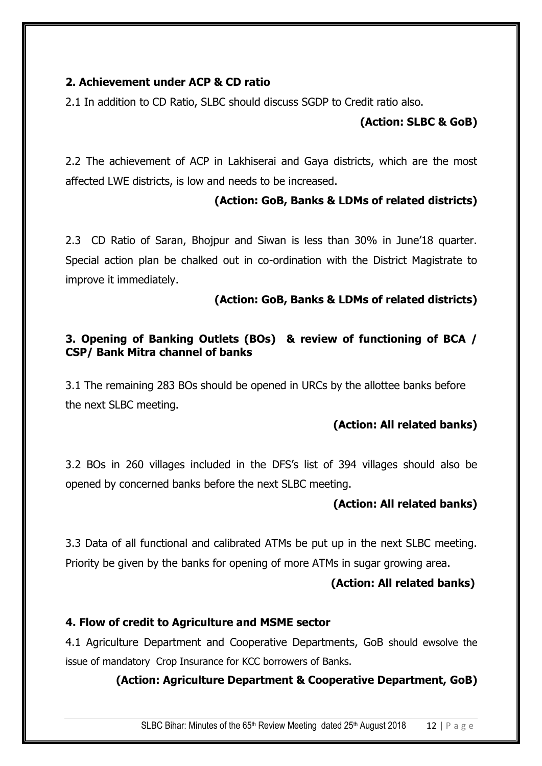## **2. Achievement under ACP & CD ratio**

2.1 In addition to CD Ratio, SLBC should discuss SGDP to Credit ratio also.

## **(Action: SLBC & GoB)**

2.2 The achievement of ACP in Lakhiserai and Gaya districts, which are the most affected LWE districts, is low and needs to be increased.

## **(Action: GoB, Banks & LDMs of related districts)**

2.3 CD Ratio of Saran, Bhojpur and Siwan is less than 30% in June'18 quarter. Special action plan be chalked out in co-ordination with the District Magistrate to improve it immediately.

## **(Action: GoB, Banks & LDMs of related districts)**

## **3. Opening of Banking Outlets (BOs) & review of functioning of BCA / CSP/ Bank Mitra channel of banks**

3.1 The remaining 283 BOs should be opened in URCs by the allottee banks before the next SLBC meeting.

## **(Action: All related banks)**

3.2 BOs in 260 villages included in the DFS's list of 394 villages should also be opened by concerned banks before the next SLBC meeting.

## **(Action: All related banks)**

3.3 Data of all functional and calibrated ATMs be put up in the next SLBC meeting. Priority be given by the banks for opening of more ATMs in sugar growing area.

#### **(Action: All related banks)**

## **4. Flow of credit to Agriculture and MSME sector**

4.1 Agriculture Department and Cooperative Departments, GoB should ewsolve the issue of mandatory Crop Insurance for KCC borrowers of Banks.

## **(Action: Agriculture Department & Cooperative Department, GoB)**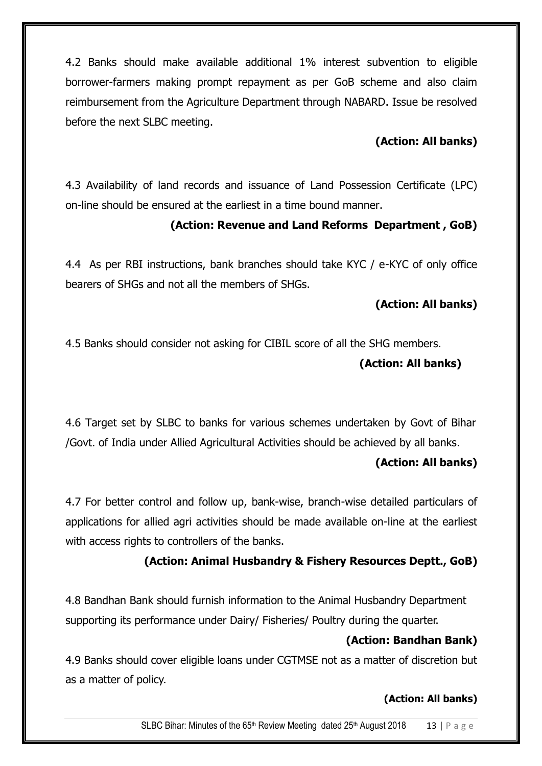4.2 Banks should make available additional 1% interest subvention to eligible borrower-farmers making prompt repayment as per GoB scheme and also claim reimbursement from the Agriculture Department through NABARD. Issue be resolved before the next SLBC meeting.

# **(Action: All banks)**

4.3 Availability of land records and issuance of Land Possession Certificate (LPC) on-line should be ensured at the earliest in a time bound manner.

## **(Action: Revenue and Land Reforms Department , GoB)**

4.4 As per RBI instructions, bank branches should take KYC / e-KYC of only office bearers of SHGs and not all the members of SHGs.

## **(Action: All banks)**

4.5 Banks should consider not asking for CIBIL score of all the SHG members.

## **(Action: All banks)**

4.6 Target set by SLBC to banks for various schemes undertaken by Govt of Bihar /Govt. of India under Allied Agricultural Activities should be achieved by all banks.

## **(Action: All banks)**

4.7 For better control and follow up, bank-wise, branch-wise detailed particulars of applications for allied agri activities should be made available on-line at the earliest with access rights to controllers of the banks.

# **(Action: Animal Husbandry & Fishery Resources Deptt., GoB)**

4.8 Bandhan Bank should furnish information to the Animal Husbandry Department supporting its performance under Dairy/ Fisheries/ Poultry during the quarter.

## **(Action: Bandhan Bank)**

4.9 Banks should cover eligible loans under CGTMSE not as a matter of discretion but as a matter of policy.

## **(Action: All banks)**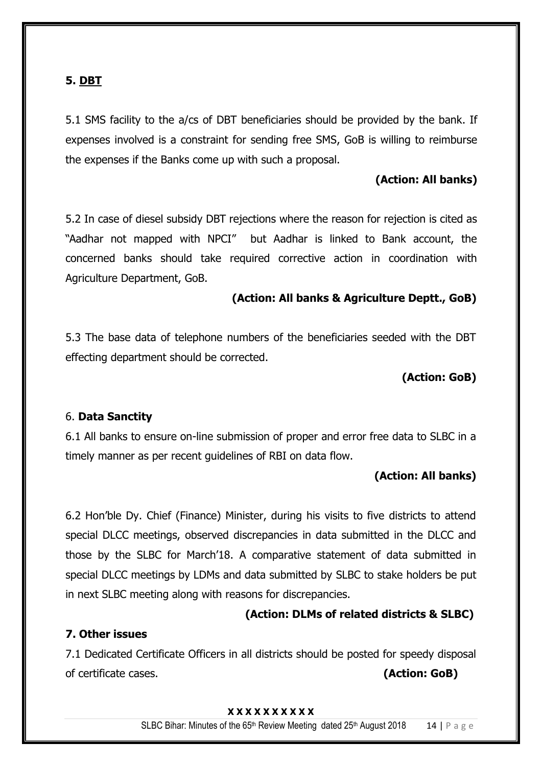## **5. DBT**

5.1 SMS facility to the a/cs of DBT beneficiaries should be provided by the bank. If expenses involved is a constraint for sending free SMS, GoB is willing to reimburse the expenses if the Banks come up with such a proposal.

## **(Action: All banks)**

5.2 In case of diesel subsidy DBT rejections where the reason for rejection is cited as "Aadhar not mapped with NPCI" but Aadhar is linked to Bank account, the concerned banks should take required corrective action in coordination with Agriculture Department, GoB.

#### **(Action: All banks & Agriculture Deptt., GoB)**

5.3 The base data of telephone numbers of the beneficiaries seeded with the DBT effecting department should be corrected.

#### **(Action: GoB)**

#### 6. **Data Sanctity**

6.1 All banks to ensure on-line submission of proper and error free data to SLBC in a timely manner as per recent guidelines of RBI on data flow.

#### **(Action: All banks)**

6.2 Hon'ble Dy. Chief (Finance) Minister, during his visits to five districts to attend special DLCC meetings, observed discrepancies in data submitted in the DLCC and those by the SLBC for March'18. A comparative statement of data submitted in special DLCC meetings by LDMs and data submitted by SLBC to stake holders be put in next SLBC meeting along with reasons for discrepancies.

#### **(Action: DLMs of related districts & SLBC)**

#### **7. Other issues**

7.1 Dedicated Certificate Officers in all districts should be posted for speedy disposal of certificate cases. **(Action: GoB)**

#### **X X X X X X X X X X**

SLBC Bihar: Minutes of the 65<sup>th</sup> Review Meeting dated 25<sup>th</sup> August 2018 14 | P a g e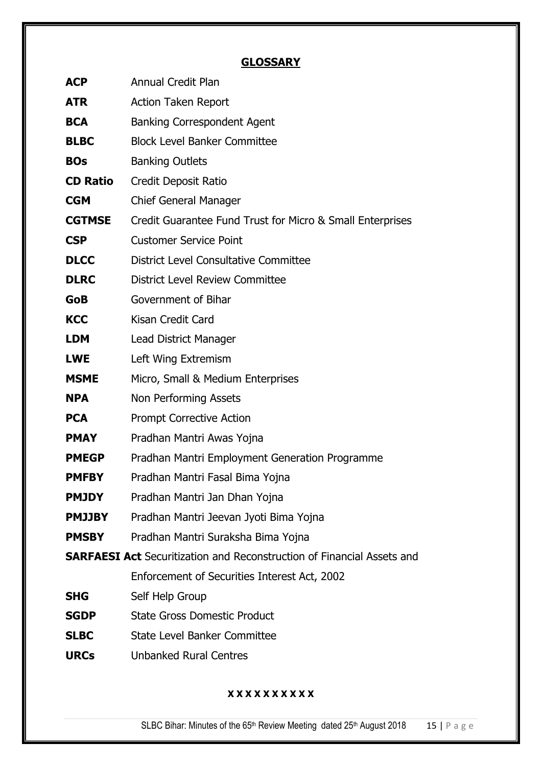# **GLOSSARY**

| <b>ACP</b>                                                                    | <b>Annual Credit Plan</b>                                 |  |  |
|-------------------------------------------------------------------------------|-----------------------------------------------------------|--|--|
| <b>ATR</b>                                                                    | <b>Action Taken Report</b>                                |  |  |
| <b>BCA</b>                                                                    | <b>Banking Correspondent Agent</b>                        |  |  |
| <b>BLBC</b>                                                                   | <b>Block Level Banker Committee</b>                       |  |  |
| <b>BOs</b>                                                                    | <b>Banking Outlets</b>                                    |  |  |
| <b>CD Ratio</b>                                                               | Credit Deposit Ratio                                      |  |  |
| <b>CGM</b>                                                                    | <b>Chief General Manager</b>                              |  |  |
| <b>CGTMSE</b>                                                                 | Credit Guarantee Fund Trust for Micro & Small Enterprises |  |  |
| <b>CSP</b>                                                                    | <b>Customer Service Point</b>                             |  |  |
| <b>DLCC</b>                                                                   | District Level Consultative Committee                     |  |  |
| <b>DLRC</b>                                                                   | District Level Review Committee                           |  |  |
| <b>GoB</b>                                                                    | Government of Bihar                                       |  |  |
| <b>KCC</b>                                                                    | Kisan Credit Card                                         |  |  |
| <b>LDM</b>                                                                    | Lead District Manager                                     |  |  |
| <b>LWE</b>                                                                    | Left Wing Extremism                                       |  |  |
| <b>MSME</b>                                                                   | Micro, Small & Medium Enterprises                         |  |  |
| <b>NPA</b>                                                                    | Non Performing Assets                                     |  |  |
| <b>PCA</b>                                                                    | <b>Prompt Corrective Action</b>                           |  |  |
| <b>PMAY</b>                                                                   | Pradhan Mantri Awas Yojna                                 |  |  |
| <b>PMEGP</b>                                                                  | Pradhan Mantri Employment Generation Programme            |  |  |
| <b>PMFBY</b>                                                                  | Pradhan Mantri Fasal Bima Yojna                           |  |  |
| <b>PMJDY</b>                                                                  | Pradhan Mantri Jan Dhan Yojna                             |  |  |
| <b>PMJJBY</b>                                                                 | Pradhan Mantri Jeevan Jyoti Bima Yojna                    |  |  |
| <b>PMSBY</b>                                                                  | Pradhan Mantri Suraksha Bima Yojna                        |  |  |
| <b>SARFAESI Act</b> Securitization and Reconstruction of Financial Assets and |                                                           |  |  |
|                                                                               | Enforcement of Securities Interest Act, 2002              |  |  |
| <b>SHG</b>                                                                    | Self Help Group                                           |  |  |
| <b>SGDP</b>                                                                   | <b>State Gross Domestic Product</b>                       |  |  |
| <b>SLBC</b>                                                                   | <b>State Level Banker Committee</b>                       |  |  |
| <b>URCs</b>                                                                   | <b>Unbanked Rural Centres</b>                             |  |  |

## **X X X X X X X X X X**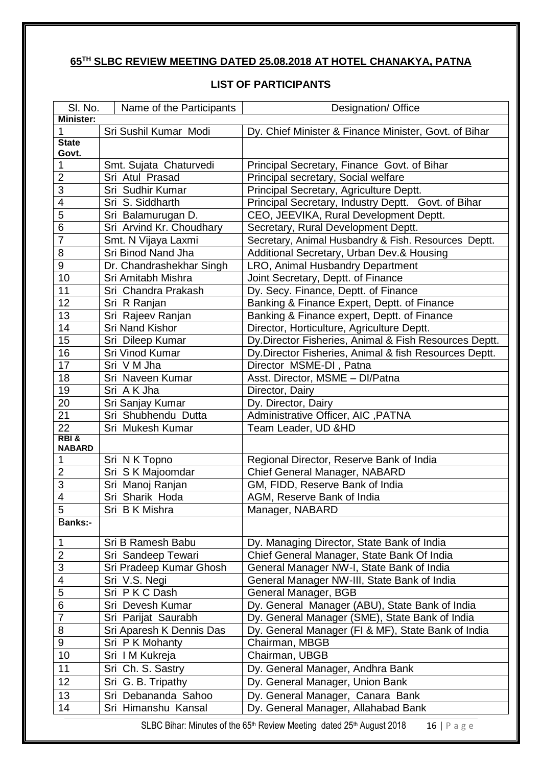# **TH SLBC REVIEW MEETING DATED 25.08.2018 AT HOTEL CHANAKYA, PATNA**

### **LIST OF PARTICIPANTS**

| SI. No.               | Name of the Participants | Designation/ Office                                    |
|-----------------------|--------------------------|--------------------------------------------------------|
| <b>Minister:</b>      |                          |                                                        |
| 1                     | Sri Sushil Kumar Modi    | Dy. Chief Minister & Finance Minister, Govt. of Bihar  |
| <b>State</b>          |                          |                                                        |
| Govt.                 |                          |                                                        |
| 1                     | Smt. Sujata Chaturvedi   | Principal Secretary, Finance Govt. of Bihar            |
| $\overline{2}$        | Sri Atul Prasad          | Principal secretary, Social welfare                    |
| $\overline{3}$        | Sri Sudhir Kumar         | Principal Secretary, Agriculture Deptt.                |
| 4                     | Sri S. Siddharth         | Principal Secretary, Industry Deptt. Govt. of Bihar    |
| $\overline{5}$        | Sri Balamurugan D.       | CEO, JEEVIKA, Rural Development Deptt.                 |
| 6                     | Sri Arvind Kr. Choudhary | Secretary, Rural Development Deptt.                    |
| 7                     | Smt. N Vijaya Laxmi      | Secretary, Animal Husbandry & Fish. Resources Deptt.   |
| 8                     | Sri Binod Nand Jha       | Additional Secretary, Urban Dev.& Housing              |
| 9                     | Dr. Chandrashekhar Singh | LRO, Animal Husbandry Department                       |
| 10                    | Sri Amitabh Mishra       | Joint Secretary, Deptt. of Finance                     |
| 11                    | Sri Chandra Prakash      | Dy. Secy. Finance, Deptt. of Finance                   |
| 12                    | Sri R Ranjan             | Banking & Finance Expert, Deptt. of Finance            |
| 13                    | Sri Rajeev Ranjan        | Banking & Finance expert, Deptt. of Finance            |
| 14                    | <b>Sri Nand Kishor</b>   | Director, Horticulture, Agriculture Deptt.             |
| 15                    | Sri Dileep Kumar         | Dy.Director Fisheries, Animal & Fish Resources Deptt.  |
| 16                    | Sri Vinod Kumar          | Dy. Director Fisheries, Animal & fish Resources Deptt. |
| 17                    | Sri V M Jha              | Director MSME-DI, Patna                                |
| 18                    | Sri Naveen Kumar         | Asst. Director, MSME - DI/Patna                        |
| 19                    | Sri A K Jha              | Director, Dairy                                        |
| 20                    | Sri Sanjay Kumar         | Dy. Director, Dairy                                    |
| 21                    | Sri Shubhendu Dutta      | Administrative Officer, AIC , PATNA                    |
| $\overline{22}$       | Sri Mukesh Kumar         | Team Leader, UD &HD                                    |
| RBI&<br><b>NABARD</b> |                          |                                                        |
| 1                     | Sri N K Topno            | Regional Director, Reserve Bank of India               |
| $\overline{2}$        | Sri S K Majoomdar        | Chief General Manager, NABARD                          |
| $\overline{3}$        | Sri Manoj Ranjan         | GM, FIDD, Reserve Bank of India                        |
| 4                     | Sri Sharik Hoda          | AGM, Reserve Bank of India                             |
| $\overline{5}$        | Sri B K Mishra           | Manager, NABARD                                        |
| <b>Banks:-</b>        |                          |                                                        |
|                       |                          |                                                        |
| $\mathbf 1$           | Sri B Ramesh Babu        | Dy. Managing Director, State Bank of India             |
| $\overline{c}$        | Sri Sandeep Tewari       | Chief General Manager, State Bank Of India             |
| 3                     | Sri Pradeep Kumar Ghosh  | General Manager NW-I, State Bank of India              |
| 4                     | Sri V.S. Negi            | General Manager NW-III, State Bank of India            |
| 5                     | Sri PKCDash              | General Manager, BGB                                   |
| 6                     | Sri Devesh Kumar         | Dy. General Manager (ABU), State Bank of India         |
| $\overline{7}$        | Sri Parijat Saurabh      | Dy. General Manager (SME), State Bank of India         |
| 8                     | Sri Aparesh K Dennis Das | Dy. General Manager (FI & MF), State Bank of India     |
| 9                     | Sri P K Mohanty          | Chairman, MBGB                                         |
| 10                    | Sri IM Kukreja           | Chairman, UBGB                                         |
| 11                    | Sri Ch. S. Sastry        | Dy. General Manager, Andhra Bank                       |
| 12                    | Sri G. B. Tripathy       | Dy. General Manager, Union Bank                        |
| 13                    | Sri Debananda Sahoo      | Dy. General Manager, Canara Bank                       |
| 14                    | Sri Himanshu Kansal      | Dy. General Manager, Allahabad Bank                    |

SLBC Bihar: Minutes of the 65<sup>th</sup> Review Meeting dated 25<sup>th</sup> August 2018 16 | P a g e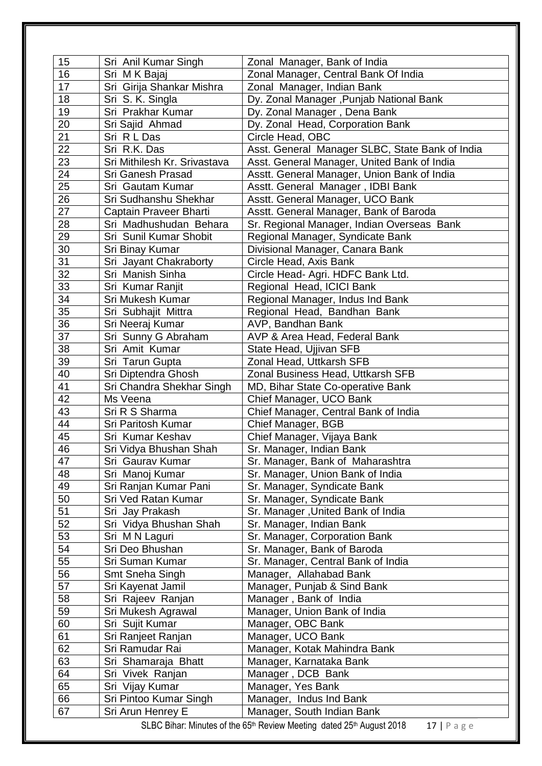| 15<br>16                                                                                                     | Sri Anil Kumar Singh                         | Zonal Manager, Bank of India                                                                   |  |
|--------------------------------------------------------------------------------------------------------------|----------------------------------------------|------------------------------------------------------------------------------------------------|--|
| 17                                                                                                           | Sri MK Bajaj<br>Sri Girija Shankar Mishra    | Zonal Manager, Central Bank Of India<br>Zonal Manager, Indian Bank                             |  |
| 18                                                                                                           |                                              |                                                                                                |  |
| 19                                                                                                           | Sri S. K. Singla<br>Sri Prakhar Kumar        | Dy. Zonal Manager, Punjab National Bank<br>Dy. Zonal Manager, Dena Bank                        |  |
| 20                                                                                                           |                                              |                                                                                                |  |
| 21                                                                                                           | Sri Sajid Ahmad<br>Sri R L Das               | Dy. Zonal Head, Corporation Bank                                                               |  |
|                                                                                                              |                                              | Circle Head, OBC                                                                               |  |
| 22<br>23                                                                                                     | Sri R.K. Das<br>Sri Mithilesh Kr. Srivastava | Asst. General Manager SLBC, State Bank of India<br>Asst. General Manager, United Bank of India |  |
| 24                                                                                                           |                                              |                                                                                                |  |
| 25                                                                                                           | Sri Ganesh Prasad<br>Sri Gautam Kumar        | Asstt. General Manager, Union Bank of India<br>Asstt. General Manager, IDBI Bank               |  |
| 26                                                                                                           | Sri Sudhanshu Shekhar                        | Asstt. General Manager, UCO Bank                                                               |  |
| 27                                                                                                           | Captain Praveer Bharti                       | Asstt. General Manager, Bank of Baroda                                                         |  |
| 28                                                                                                           | Sri Madhushudan Behara                       | Sr. Regional Manager, Indian Overseas Bank                                                     |  |
| 29                                                                                                           | Sri Sunil Kumar Shobit                       | Regional Manager, Syndicate Bank                                                               |  |
| 30                                                                                                           | Sri Binay Kumar                              | Divisional Manager, Canara Bank                                                                |  |
| 31                                                                                                           | Sri Jayant Chakraborty                       | Circle Head, Axis Bank                                                                         |  |
| 32                                                                                                           | Sri Manish Sinha                             | Circle Head- Agri. HDFC Bank Ltd.                                                              |  |
| 33                                                                                                           | Sri Kumar Ranjit                             | Regional Head, ICICI Bank                                                                      |  |
| 34                                                                                                           | Sri Mukesh Kumar                             | Regional Manager, Indus Ind Bank                                                               |  |
| 35                                                                                                           | Sri Subhajit Mittra                          | Regional Head, Bandhan Bank                                                                    |  |
| 36                                                                                                           | Sri Neeraj Kumar                             | AVP, Bandhan Bank                                                                              |  |
| 37                                                                                                           | Sri Sunny G Abraham                          | AVP & Area Head, Federal Bank                                                                  |  |
| 38                                                                                                           | Sri Amit Kumar                               | State Head, Ujjivan SFB                                                                        |  |
| 39                                                                                                           | Sri Tarun Gupta                              | Zonal Head, Uttkarsh SFB                                                                       |  |
| 40                                                                                                           | Sri Diptendra Ghosh                          | Zonal Business Head, Uttkarsh SFB                                                              |  |
| 41                                                                                                           | Sri Chandra Shekhar Singh                    | MD, Bihar State Co-operative Bank                                                              |  |
| 42                                                                                                           | Ms Veena                                     | Chief Manager, UCO Bank                                                                        |  |
| 43                                                                                                           | Sri R S Sharma                               | Chief Manager, Central Bank of India                                                           |  |
| 44                                                                                                           | Sri Paritosh Kumar                           | Chief Manager, BGB                                                                             |  |
| 45                                                                                                           | Sri Kumar Keshav                             | Chief Manager, Vijaya Bank                                                                     |  |
| 46                                                                                                           | Sri Vidya Bhushan Shah                       | Sr. Manager, Indian Bank                                                                       |  |
| 47                                                                                                           | Sri Gaurav Kumar                             | Sr. Manager, Bank of Maharashtra                                                               |  |
| 48                                                                                                           | Sri Manoj Kumar                              | Sr. Manager, Union Bank of India                                                               |  |
| 49                                                                                                           | Sri Ranjan Kumar Pani                        | Sr. Manager, Syndicate Bank                                                                    |  |
| 50                                                                                                           | Sri Ved Ratan Kumar                          | Sr. Manager, Syndicate Bank                                                                    |  |
| 51                                                                                                           | Sri Jay Prakash                              | Sr. Manager, United Bank of India                                                              |  |
| 52                                                                                                           | Sri Vidya Bhushan Shah                       | Sr. Manager, Indian Bank                                                                       |  |
| 53                                                                                                           | Sri M N Laguri                               | Sr. Manager, Corporation Bank                                                                  |  |
| 54                                                                                                           | Sri Deo Bhushan                              | Sr. Manager, Bank of Baroda                                                                    |  |
| 55                                                                                                           | Sri Suman Kumar                              | Sr. Manager, Central Bank of India                                                             |  |
| 56                                                                                                           | Smt Sneha Singh                              | Manager, Allahabad Bank                                                                        |  |
| 57                                                                                                           | Sri Kayenat Jamil                            | Manager, Punjab & Sind Bank                                                                    |  |
| 58                                                                                                           | Sri Rajeev Ranjan                            | Manager, Bank of India                                                                         |  |
| 59                                                                                                           | Sri Mukesh Agrawal                           | Manager, Union Bank of India                                                                   |  |
| 60                                                                                                           | Sri Sujit Kumar                              | Manager, OBC Bank                                                                              |  |
| 61                                                                                                           | Sri Ranjeet Ranjan                           | Manager, UCO Bank                                                                              |  |
| 62                                                                                                           | Sri Ramudar Rai                              | Manager, Kotak Mahindra Bank                                                                   |  |
| 63                                                                                                           | Sri Shamaraja Bhatt                          | Manager, Karnataka Bank                                                                        |  |
| 64                                                                                                           | Sri Vivek Ranjan                             | Manager, DCB Bank                                                                              |  |
| 65                                                                                                           | Sri Vijay Kumar                              | Manager, Yes Bank                                                                              |  |
| 66                                                                                                           | Sri Pintoo Kumar Singh                       | Manager, Indus Ind Bank                                                                        |  |
| 67                                                                                                           | Sri Arun Henrey E                            | Manager, South Indian Bank                                                                     |  |
| SLBC Bihar: Minutes of the 65 <sup>th</sup> Review Meeting dated 25 <sup>th</sup> August 2018<br>$17$   Page |                                              |                                                                                                |  |